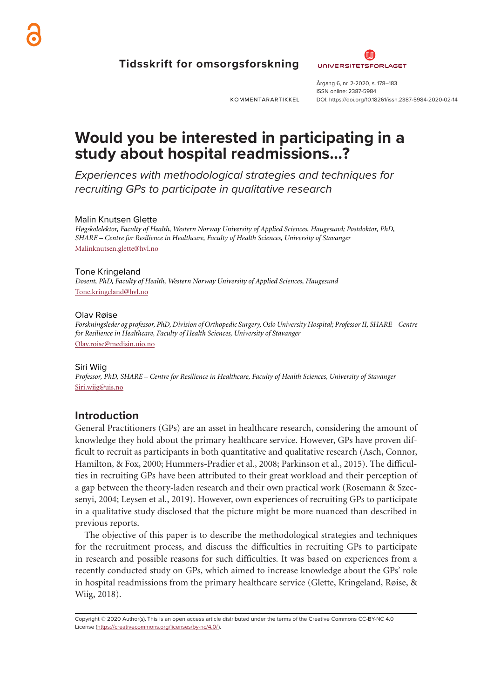

**Tidsskrift for omsorgsforskning** 



ISSN online: 2387-5984

DOI: https://doi.org/10.18261/issn.2387-5984-2020-02-14

KOMMENTARARTIKKEL

**Would you be interested in participating in a study about hospital readmissions…?**

ender de la visa de la visa de la visa de la visa de la visa de la visa de la visa de la visa de la visa de la<br>La visa de la visa de la visa de la visa de la visa de la visa de la visa de la visa de la visa de la visa de

Experiences with methodological strategies and techniques for recruiting GPs to participate in qualitative research

## Malin Knutsen Glette

*Høgskolelektor, Faculty of Health, Western Norway University of Applied Sciences, Haugesund; Postdoktor, PhD, SHARE – Centre for Resilience in Healthcare, Faculty of Health Sciences, University of Stavanger* Malinknutsen.glette@hvl.no

Tone Kringeland *Dosent, PhD, Faculty of Health, Western Norway University of Applied Sciences, Haugesund* Tone.kringeland@hvl.no

## Olav Røise

*Forskningsleder og professor, PhD, Division of Orthopedic Surgery, Oslo University Hospital; Professor II, SHARE – Centre for Resilience in Healthcare, Faculty of Health Sciences, University of Stavanger* Olav.roise@medisin.uio.no

### Siri Wiig

*Professor, PhD, SHARE – Centre for Resilience in Healthcare, Faculty of Health Sciences, University of Stavanger* Siri.wiig@uis.no

## **Introduction**

General Practitioners (GPs) are an asset in healthcare research, considering the amount of knowledge they hold about the primary healthcare service. However, GPs have proven difficult to recruit as participants in both quantitative and qualitative research (Asch, Connor, Hamilton, & Fox, 2000; Hummers-Pradier et al., 2008; Parkinson et al., 2015). The difficulties in recruiting GPs have been attributed to their great workload and their perception of a gap between the theory-laden research and their own practical work (Rosemann & Szecsenyi, 2004; Leysen et al., 2019). However, own experiences of recruiting GPs to participate in a qualitative study disclosed that the picture might be more nuanced than described in previous reports.

The objective of this paper is to describe the methodological strategies and techniques for the recruitment process, and discuss the difficulties in recruiting GPs to participate in research and possible reasons for such difficulties. It was based on experiences from a recently conducted study on GPs, which aimed to increase knowledge about the GPs' role in hospital readmissions from the primary healthcare service (Glette, Kringeland, Røise, & Wiig, 2018).

Copyright © 2020 Author(s). This is an open access article distributed under the terms of the Creative Commons CC-BY-NC 4.0 License (https://creativecommons.org/licenses/by-nc/4.0/).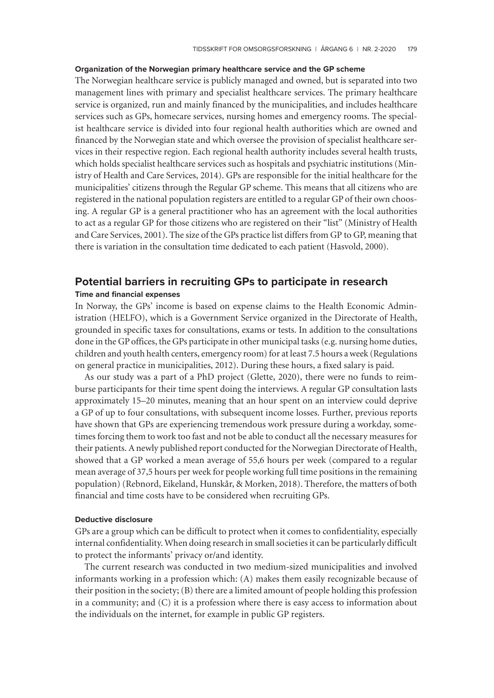#### **Organization of the Norwegian primary healthcare service and the GP scheme**

The Norwegian healthcare service is publicly managed and owned, but is separated into two management lines with primary and specialist healthcare services. The primary healthcare service is organized, run and mainly financed by the municipalities, and includes healthcare services such as GPs, homecare services, nursing homes and emergency rooms. The specialist healthcare service is divided into four regional health authorities which are owned and financed by the Norwegian state and which oversee the provision of specialist healthcare services in their respective region. Each regional health authority includes several health trusts, which holds specialist healthcare services such as hospitals and psychiatric institutions (Ministry of Health and Care Services, 2014). GPs are responsible for the initial healthcare for the municipalities' citizens through the Regular GP scheme. This means that all citizens who are registered in the national population registers are entitled to a regular GP of their own choosing. A regular GP is a general practitioner who has an agreement with the local authorities to act as a regular GP for those citizens who are registered on their "list" (Ministry of Health and Care Services, 2001). The size of the GPs practice list differs from GP to GP, meaning that there is variation in the consultation time dedicated to each patient (Hasvold, 2000).

## **Potential barriers in recruiting GPs to participate in research Time and financial expenses**

In Norway, the GPs' income is based on expense claims to the Health Economic Administration (HELFO), which is a Government Service organized in the Directorate of Health, grounded in specific taxes for consultations, exams or tests. In addition to the consultations done in the GP offices, the GPs participate in other municipal tasks (e.g. nursing home duties, children and youth health centers, emergency room) for at least 7.5 hours a week (Regulations on general practice in municipalities, 2012). During these hours, a fixed salary is paid.

As our study was a part of a PhD project (Glette, 2020), there were no funds to reimburse participants for their time spent doing the interviews. A regular GP consultation lasts approximately 15–20 minutes, meaning that an hour spent on an interview could deprive a GP of up to four consultations, with subsequent income losses. Further, previous reports have shown that GPs are experiencing tremendous work pressure during a workday, sometimes forcing them to work too fast and not be able to conduct all the necessary measures for their patients. A newly published report conducted for the Norwegian Directorate of Health, showed that a GP worked a mean average of 55,6 hours per week (compared to a regular mean average of 37,5 hours per week for people working full time positions in the remaining population) (Rebnord, Eikeland, Hunskår, & Morken, 2018). Therefore, the matters of both financial and time costs have to be considered when recruiting GPs.

#### **Deductive disclosure**

GPs are a group which can be difficult to protect when it comes to confidentiality, especially internal confidentiality. When doing research in small societies it can be particularly difficult to protect the informants' privacy or/and identity.

The current research was conducted in two medium-sized municipalities and involved informants working in a profession which: (A) makes them easily recognizable because of their position in the society; (B) there are a limited amount of people holding this profession in a community; and (C) it is a profession where there is easy access to information about the individuals on the internet, for example in public GP registers.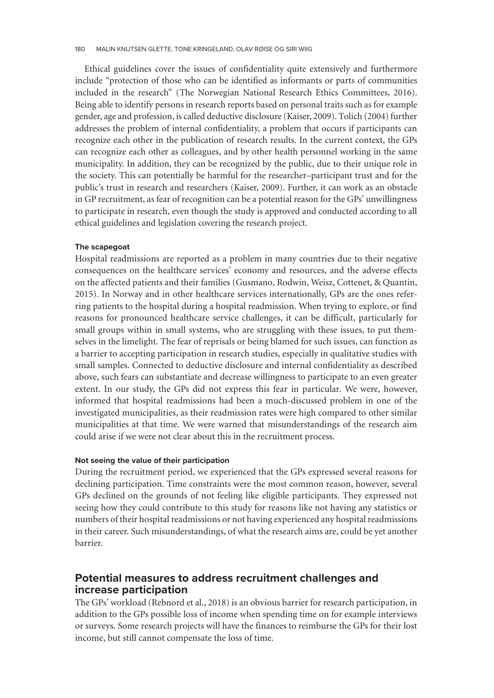Ethical guidelines cover the issues of confidentiality quite extensively and furthermore include "protection of those who can be identified as informants or parts of communities included in the research" (The Norwegian National Research Ethics Committees, 2016). Being able to identify persons in research reports based on personal traits such as for example gender, age and profession, is called deductive disclosure (Kaiser, 2009). Tolich (2004) further addresses the problem of internal confidentiality, a problem that occurs if participants can recognize each other in the publication of research results. In the current context, the GPs can recognize each other as colleagues, and by other health personnel working in the same municipality. In addition, they can be recognized by the public, due to their unique role in the society. This can potentially be harmful for the researcher–participant trust and for the public's trust in research and researchers (Kaiser, 2009). Further, it can work as an obstacle in GP recruitment, as fear of recognition can be a potential reason for the GPs' unwillingness to participate in research, even though the study is approved and conducted according to all ethical guidelines and legislation covering the research project.

### **The scapegoat**

Hospital readmissions are reported as a problem in many countries due to their negative consequences on the healthcare services' economy and resources, and the adverse effects on the affected patients and their families (Gusmano, Rodwin, Weisz, Cottenet, & Quantin, 2015). In Norway and in other healthcare services internationally, GPs are the ones referring patients to the hospital during a hospital readmission. When trying to explore, or find reasons for pronounced healthcare service challenges, it can be difficult, particularly for small groups within in small systems, who are struggling with these issues, to put themselves in the limelight. The fear of reprisals or being blamed for such issues, can function as a barrier to accepting participation in research studies, especially in qualitative studies with small samples. Connected to deductive disclosure and internal confidentiality as described above, such fears can substantiate and decrease willingness to participate to an even greater extent. In our study, the GPs did not express this fear in particular. We were, however, informed that hospital readmissions had been a much-discussed problem in one of the investigated municipalities, as their readmission rates were high compared to other similar municipalities at that time. We were warned that misunderstandings of the research aim could arise if we were not clear about this in the recruitment process.

## **Not seeing the value of their participation**

During the recruitment period, we experienced that the GPs expressed several reasons for declining participation. Time constraints were the most common reason, however, several GPs declined on the grounds of not feeling like eligible participants. They expressed not seeing how they could contribute to this study for reasons like not having any statistics or numbers of their hospital readmissions or not having experienced any hospital readmissions in their career. Such misunderstandings, of what the research aims are, could be yet another barrier.

## **Potential measures to address recruitment challenges and increase participation**

The GPs' workload (Rebnord et al., 2018) is an obvious barrier for research participation, in addition to the GPs possible loss of income when spending time on for example interviews or surveys. Some research projects will have the finances to reimburse the GPs for their lost income, but still cannot compensate the loss of time.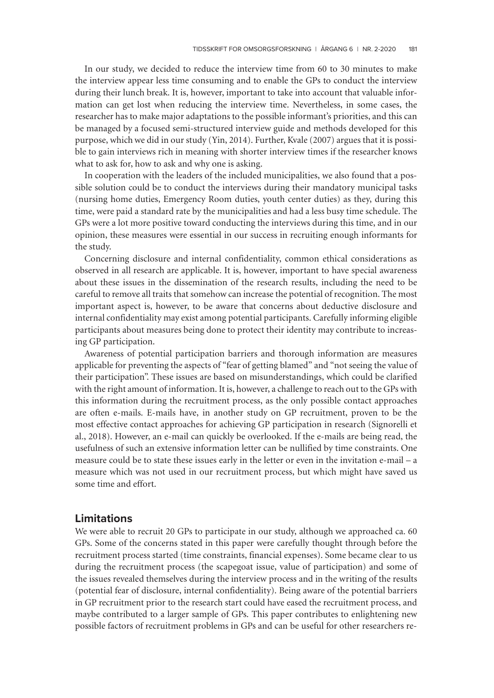In our study, we decided to reduce the interview time from 60 to 30 minutes to make the interview appear less time consuming and to enable the GPs to conduct the interview during their lunch break. It is, however, important to take into account that valuable information can get lost when reducing the interview time. Nevertheless, in some cases, the researcher has to make major adaptations to the possible informant's priorities, and this can be managed by a focused semi-structured interview guide and methods developed for this purpose, which we did in our study (Yin, 2014). Further, Kvale (2007) argues that it is possible to gain interviews rich in meaning with shorter interview times if the researcher knows what to ask for, how to ask and why one is asking.

In cooperation with the leaders of the included municipalities, we also found that a possible solution could be to conduct the interviews during their mandatory municipal tasks (nursing home duties, Emergency Room duties, youth center duties) as they, during this time, were paid a standard rate by the municipalities and had a less busy time schedule. The GPs were a lot more positive toward conducting the interviews during this time, and in our opinion, these measures were essential in our success in recruiting enough informants for the study.

Concerning disclosure and internal confidentiality, common ethical considerations as observed in all research are applicable. It is, however, important to have special awareness about these issues in the dissemination of the research results, including the need to be careful to remove all traits that somehow can increase the potential of recognition. The most important aspect is, however, to be aware that concerns about deductive disclosure and internal confidentiality may exist among potential participants. Carefully informing eligible participants about measures being done to protect their identity may contribute to increasing GP participation.

Awareness of potential participation barriers and thorough information are measures applicable for preventing the aspects of "fear of getting blamed" and "not seeing the value of their participation". These issues are based on misunderstandings, which could be clarified with the right amount of information. It is, however, a challenge to reach out to the GPs with this information during the recruitment process, as the only possible contact approaches are often e-mails. E-mails have, in another study on GP recruitment, proven to be the most effective contact approaches for achieving GP participation in research (Signorelli et al., 2018). However, an e-mail can quickly be overlooked. If the e-mails are being read, the usefulness of such an extensive information letter can be nullified by time constraints. One measure could be to state these issues early in the letter or even in the invitation e-mail – a measure which was not used in our recruitment process, but which might have saved us some time and effort.

## **Limitations**

We were able to recruit 20 GPs to participate in our study, although we approached ca. 60 GPs. Some of the concerns stated in this paper were carefully thought through before the recruitment process started (time constraints, financial expenses). Some became clear to us during the recruitment process (the scapegoat issue, value of participation) and some of the issues revealed themselves during the interview process and in the writing of the results (potential fear of disclosure, internal confidentiality). Being aware of the potential barriers in GP recruitment prior to the research start could have eased the recruitment process, and maybe contributed to a larger sample of GPs. This paper contributes to enlightening new possible factors of recruitment problems in GPs and can be useful for other researchers re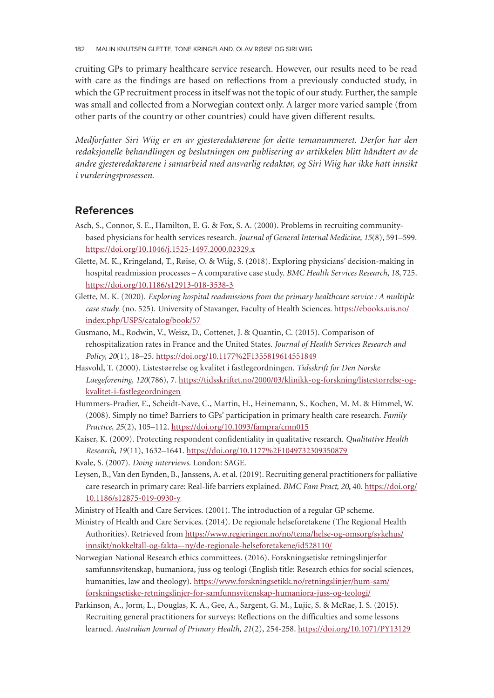cruiting GPs to primary healthcare service research. However, our results need to be read with care as the findings are based on reflections from a previously conducted study, in which the GP recruitment process in itself was not the topic of our study. Further, the sample was small and collected from a Norwegian context only. A larger more varied sample (from other parts of the country or other countries) could have given different results.

*Medforfatter Siri Wiig er en av gjesteredaktørene for dette temanummeret. Derfor har den redaksjonelle behandlingen og beslutningen om publisering av artikkelen blitt håndtert av de andre gjesteredaktørene i samarbeid med ansvarlig redaktør, og Siri Wiig har ikke hatt innsikt i vurderingsprosessen.*

# **References**

- Asch, S., Connor, S. E., Hamilton, E. G. & Fox, S. A. (2000). Problems in recruiting communitybased physicians for health services research. *Journal of General Internal Medicine, 15*(8), 591–599. https://doi.org/10.1046/j.1525-1497.2000.02329.x
- Glette, M. K., Kringeland, T., Røise, O. & Wiig, S. (2018). Exploring physicians' decision-making in hospital readmission processes – A comparative case study. *BMC Health Services Research*, *18*, 725. [https://doi.org/10.1186/s12913-018-3538-3](https://doi.org/10.1046/j.1525-1497.2000.02329.x)
- Glette, M. K. (2020). *Exploring hospital readmissions from the primary healthcare service : A multiple* case study. (no. 525). University of Stavanger, Faculty of Health Sciences. https://ebooks.uis.no/ [index.php/USPS/catalog/book/57](https://doi.org/10.1186/s12913-018-3538-3)
- Gusmano, M., Rodwin, V., Weisz, D., Cottenet, J. & Quantin, C. (2015). Comparison of rehospitalization rates in France and the United States. *Journal of Health [Services Research and](https://ebooks.uis.no/index.php/USPS/catalog/book/57) Policy, 20*(1), 18–25. https://doi.org/10.1177%2F1355819614551849
- [Hasvold,](https://ebooks.uis.no/index.php/USPS/catalog/book/57) [T.](https://ebooks.uis.no/index.php/USPS/catalog/book/57) [\(2000\).](https://ebooks.uis.no/index.php/USPS/catalog/book/57) [Listestørrelse](https://ebooks.uis.no/index.php/USPS/catalog/book/57) [og](https://ebooks.uis.no/index.php/USPS/catalog/book/57) [k](https://ebooks.uis.no/index.php/USPS/catalog/book/57)valitet i fastlegeordningen. *Tidsskrift for Den Norske Laegeforening, 120*(786), 7. https://tidsskriftet.no/2000/03/klinikk-og-forskning/listestorrelse-ogkvalitet-i-fastlegeordningen
- Hummers-Pradier, E., [Scheidt-Nave,](https://doi.org/10.1177%2F1355819614551849) [C.,](https://doi.org/10.1177%2F1355819614551849) [Martin,](https://doi.org/10.1177%2F1355819614551849) [H.,](https://doi.org/10.1177%2F1355819614551849) [Heinemann,](https://doi.org/10.1177%2F1355819614551849) [S.,](https://doi.org/10.1177%2F1355819614551849) [Ko](https://doi.org/10.1177%2F1355819614551849)chen, M. M. & Himmel, W. (2008). Simply no time? B[arriers to GPs' participation in primary health care research.](https://tidsskriftet.no/2000/03/klinikk-og-forskning/listestorrelse-og-kvalitet-i-fastlegeordningen) *Family Practice, 25*(2), 105–112. https://doi.org/10.1093/fampra/cmn015
- [Kaiser,](https://tidsskriftet.no/2000/03/klinikk-og-forskning/listestorrelse-og-kvalitet-i-fastlegeordningen) [K.](https://tidsskriftet.no/2000/03/klinikk-og-forskning/listestorrelse-og-kvalitet-i-fastlegeordningen) [\(2009\).](https://tidsskriftet.no/2000/03/klinikk-og-forskning/listestorrelse-og-kvalitet-i-fastlegeordningen) [Protecting](https://tidsskriftet.no/2000/03/klinikk-og-forskning/listestorrelse-og-kvalitet-i-fastlegeordningen) [res](https://tidsskriftet.no/2000/03/klinikk-og-forskning/listestorrelse-og-kvalitet-i-fastlegeordningen)pondent confidentiality in qualitative research. *Qualitative Health Research, 19*(11), 1632–1641. https://doi.org/10.1177%2F1049732309350879
- Kvale, S. (2007). *Doing interviews*. London: SAGE.
- Leysen, B., Van den Eynden, [B.,](https://doi.org/10.1093/fampra/cmn015) [Janssens,](https://doi.org/10.1093/fampra/cmn015) [A.](https://doi.org/10.1093/fampra/cmn015) [et](https://doi.org/10.1093/fampra/cmn015) [al.](https://doi.org/10.1093/fampra/cmn015) [\(2019\).](https://doi.org/10.1093/fampra/cmn015) [Recruiting](https://doi.org/10.1093/fampra/cmn015) [ge](https://doi.org/10.1093/fampra/cmn015)neral practitioners for palliative care research in primary care: [Real-life barriers explained.](https://doi.org/10.1177%2F1049732309350879) *BMC Fam Pract, 20***,** 40. https://doi.org/ 10.1186/s12875-019-0930-y
- Ministry of Health and Care Services. (2001). The introduction of a regular GP scheme.
- Ministry of Health and Care Services. (2014). De regionale helseforetakene (The Reg[ional Health](https://doi.org/10.1186/s12875-019-0930-y) [Authorities\). Retrieved from](https://doi.org/10.1186/s12875-019-0930-y) https://www.regjeringen.no/no/tema/helse-og-omsorg/sykehus/ innsikt/nokkeltall-og-fakta–-ny/de-regionale-helseforetakene/id528110/
- Norwegian National Research ethics committees. (2016). Forskningsetiske retningslinjerfor samfunnsvitenskap, humani[ora, juss og teologi \(English title: Research ethics for social sciences,](https://www.regjeringen.no/no/tema/helse-og-omsorg/sykehus/innsikt/nokkeltall-og-fakta---ny/de-regionale-helseforetakene/id528110/) humanities, law and theology). https://www.forskningsetikk.no/retningslinjer/hum-sam/ [forskningsetiske-retningslinjer-for-samfunnsvitenskap-humaniora-juss-](https://www.regjeringen.no/no/tema/helse-og-omsorg/sykehus/innsikt/nokkeltall-og-fakta---ny/de-regionale-helseforetakene/id528110/)og-teologi/
- Parkinson, A., Jorm, L., Douglas, K. A., Gee, A., Sargent, G. M., Lujic, S. & McRae, I. S. (2015). Recruiting general practitioner[s for surveys: Reflections on the difficulties and some lessons](https://www.forskningsetikk.no/retningslinjer/hum-sam/forskningsetiske-retningslinjer-for-samfunnsvitenskap-humaniora-juss-og-teologi/) learned. *[Australian Journal of Primary Health, 21](https://www.forskningsetikk.no/retningslinjer/hum-sam/forskningsetiske-retningslinjer-for-samfunnsvitenskap-humaniora-juss-og-teologi/)*(2), 254-258. https://doi.org/10.1071/PY13129